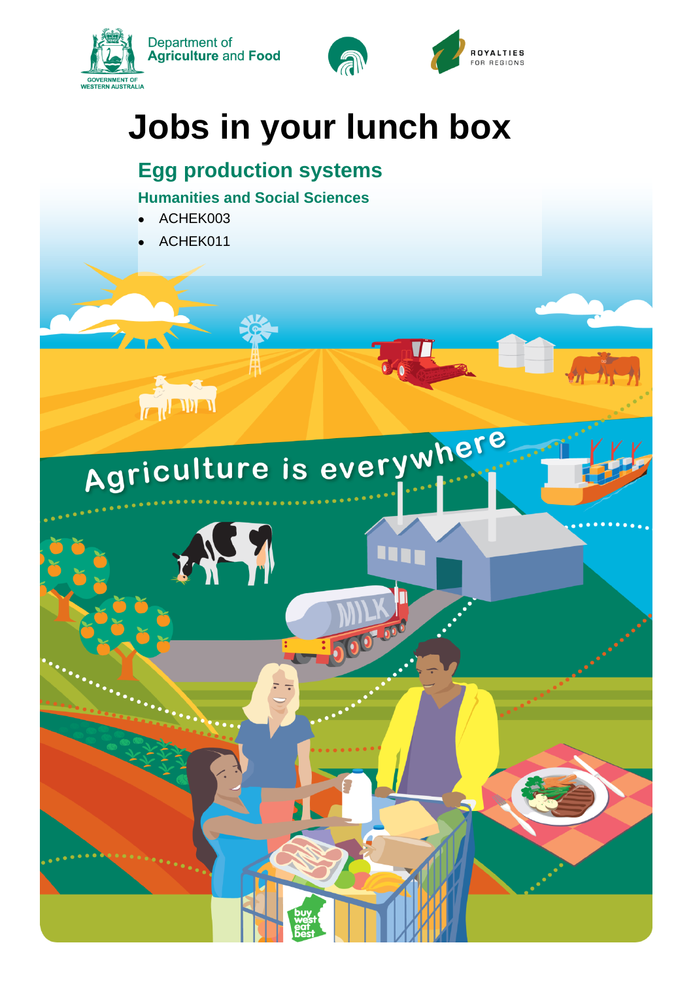



# **Jobs in your lunch box**

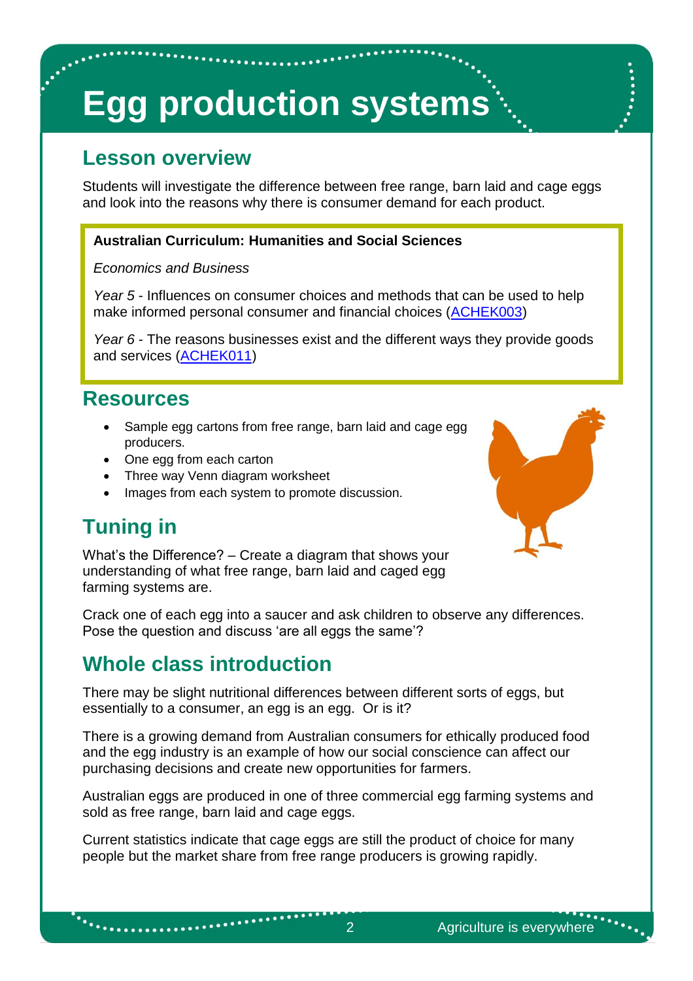# **Egg production systems**

### **Lesson overview**

Students will investigate the difference between free range, barn laid and cage eggs and look into the reasons why there is consumer demand for each product.

#### **Australian Curriculum: Humanities and Social Sciences**

#### *Economics and Business*

*Year 5* - Influences on consumer choices and methods that can be used to help make informed personal consumer and financial choices [\(ACHEK003\)](http://connect.det.wa.edu.au/group/staff/resources/curriculum?learningarea=Humanities%20and%20Social%20Sciences&subject=Economics%20and%20Business&__clnssluui=38kdxaue59uhxhg191)

*Year 6* - The reasons businesses exist and the different ways they provide goods and services [\(ACHEK011\)](http://connect.det.wa.edu.au/group/staff/resources/curriculum?learningarea=Humanities%20and%20Social%20Sciences&subject=Economics%20and%20Business&__clnssluui=38kdxaue59uhxhg191)

#### **Resources**

- Sample egg cartons from free range, barn laid and cage egg producers.
- One egg from each carton
- Three way Venn diagram worksheet
- Images from each system to promote discussion.

## **Tuning in**

 $\ddot{\phantom{a}}$ 

What's the Difference? – Create a diagram that shows your understanding of what free range, barn laid and caged egg farming systems are.



Crack one of each egg into a saucer and ask children to observe any differences. Pose the question and discuss 'are all eggs the same'?

### **Whole class introduction**

. . . . . . . . . . . . . .

There may be slight nutritional differences between different sorts of eggs, but essentially to a consumer, an egg is an egg. Or is it?

There is a growing demand from Australian consumers for ethically produced food and the egg industry is an example of how our social conscience can affect our purchasing decisions and create new opportunities for farmers.

Australian eggs are produced in one of three commercial egg farming systems and sold as free range, barn laid and cage eggs.

Current statistics indicate that cage eggs are still the product of choice for many people but the market share from free range producers is growing rapidly.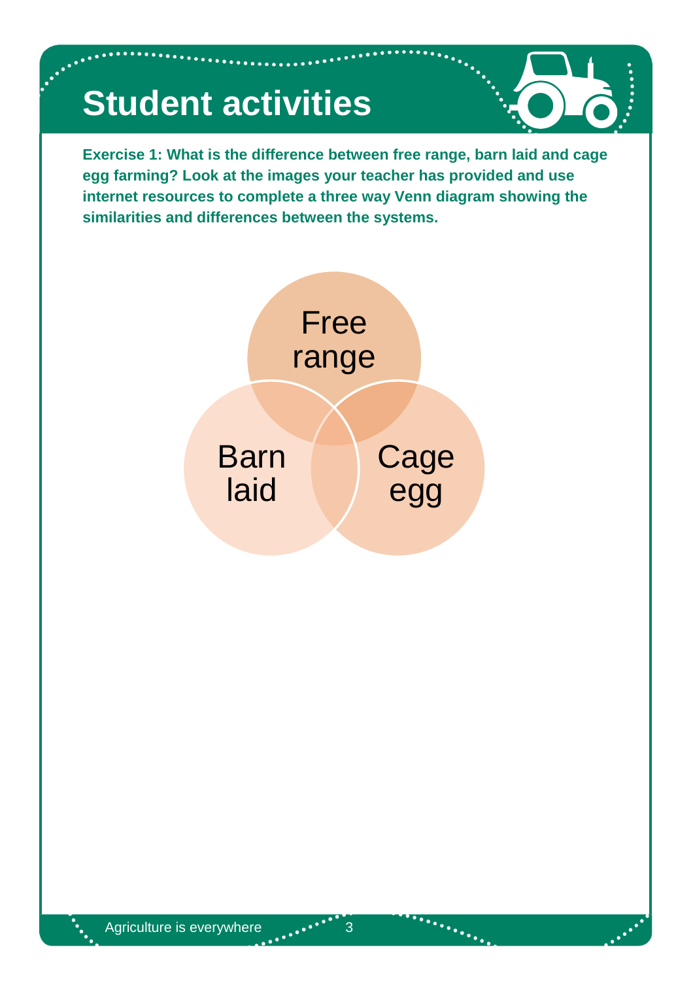# **Student activities**

**Exercise 1: What is the difference between free range, barn laid and cage egg farming? Look at the images your teacher has provided and use internet resources to complete a three way Venn diagram showing the similarities and differences between the systems.**



 $m_{\tilde{t}_{\rm th}}$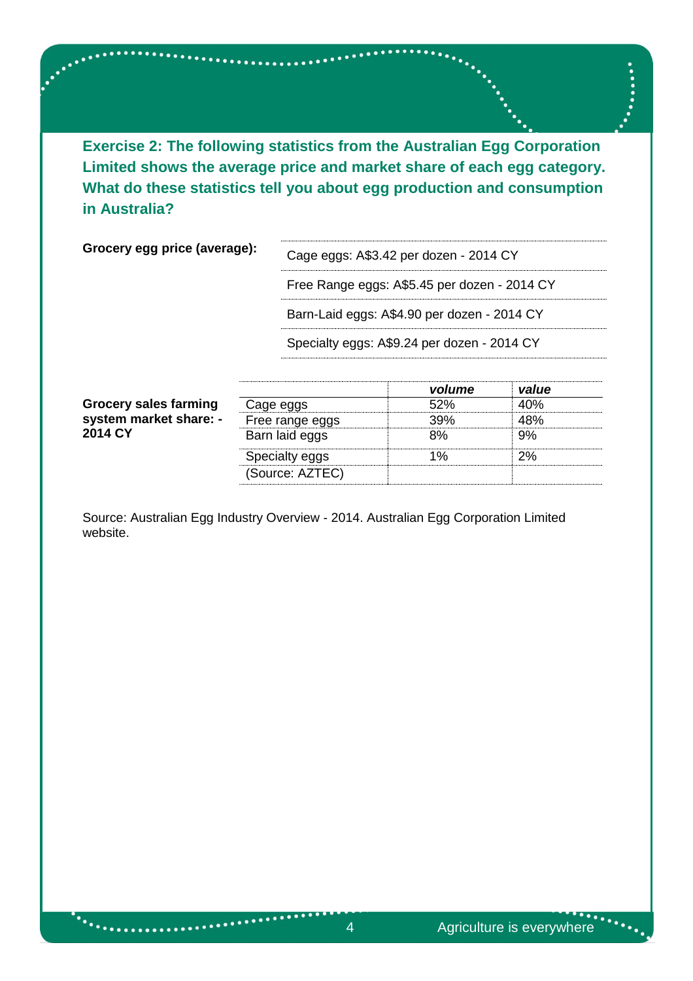**Exercise 2: The following statistics from the Australian Egg Corporation Limited shows the average price and market share of each egg category. What do these statistics tell you about egg production and consumption in Australia?**

 $\mathcal{L}_{\text{S}}$ 

**Grocery egg price (average):** Cage eggs: A\$3.42 per dozen - 2014 CY

Free Range eggs: A\$5.45 per dozen - 2014 CY

Barn-Laid eggs: A\$4.90 per dozen - 2014 CY

Specialty eggs: A\$9.24 per dozen - 2014 CY

|                                                                   |                 | volume | value |  |
|-------------------------------------------------------------------|-----------------|--------|-------|--|
| <b>Grocery sales farming</b><br>system market share: -<br>2014 CY | Cage eggs       | 52%    | 40%   |  |
|                                                                   | Free range eggs | 39%    | 48%   |  |
|                                                                   | Barn laid eggs  | 8%     | 9%    |  |
|                                                                   | Specialty eggs  | 1%     | 2%    |  |
|                                                                   | (Source: AZTEC) |        |       |  |

Source: Australian Egg Industry Overview - 2014. Australian Egg Corporation Limited website.

 $\mathcal{L}$  . The contract of  $\mathcal{L}$